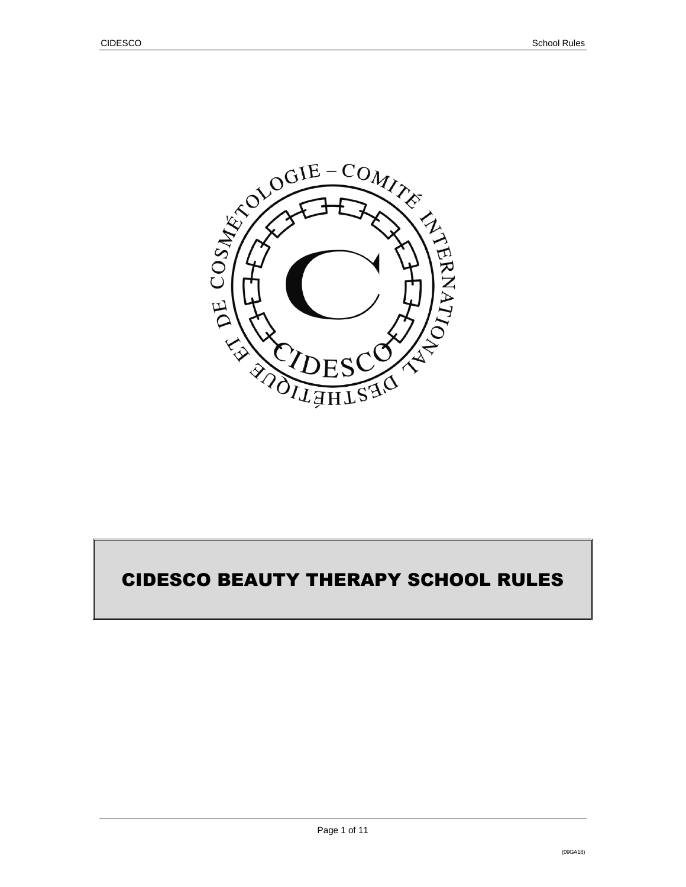

# CIDESCO BEAUTY THERAPY SCHOOL RULES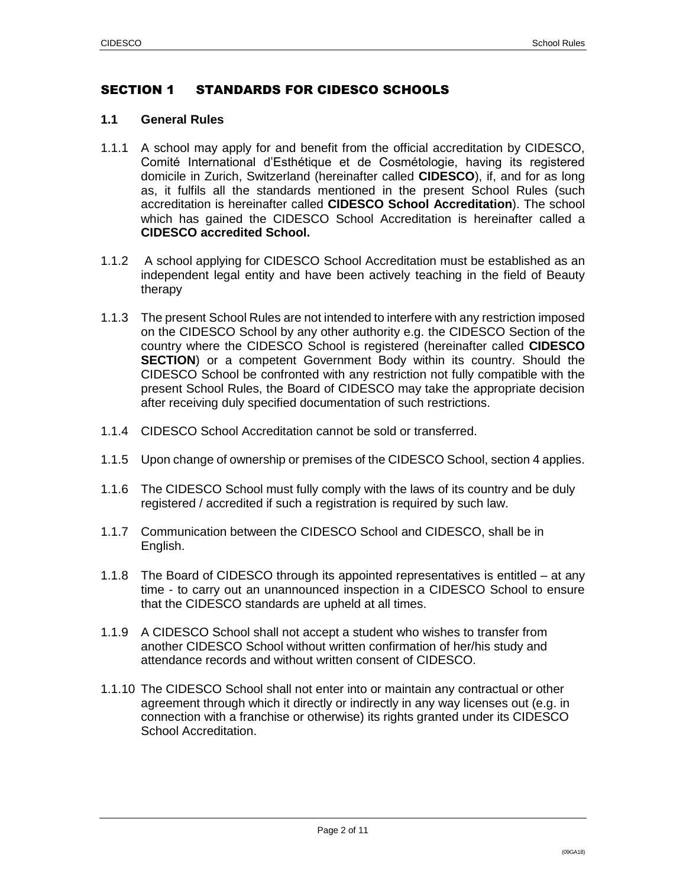## SECTION 1 STANDARDS FOR CIDESCO SCHOOLS

#### **1.1 General Rules**

- 1.1.1 A school may apply for and benefit from the official accreditation by CIDESCO, Comité International d'Esthétique et de Cosmétologie, having its registered domicile in Zurich, Switzerland (hereinafter called **CIDESCO**), if, and for as long as, it fulfils all the standards mentioned in the present School Rules (such accreditation is hereinafter called **CIDESCO School Accreditation**). The school which has gained the CIDESCO School Accreditation is hereinafter called a **CIDESCO accredited School.**
- 1.1.2 A school applying for CIDESCO School Accreditation must be established as an independent legal entity and have been actively teaching in the field of Beauty therapy
- 1.1.3 The present School Rules are not intended to interfere with any restriction imposed on the CIDESCO School by any other authority e.g. the CIDESCO Section of the country where the CIDESCO School is registered (hereinafter called **CIDESCO SECTION**) or a competent Government Body within its country. Should the CIDESCO School be confronted with any restriction not fully compatible with the present School Rules, the Board of CIDESCO may take the appropriate decision after receiving duly specified documentation of such restrictions.
- 1.1.4 CIDESCO School Accreditation cannot be sold or transferred.
- 1.1.5 Upon change of ownership or premises of the CIDESCO School, section 4 applies.
- 1.1.6 The CIDESCO School must fully comply with the laws of its country and be duly registered / accredited if such a registration is required by such law.
- 1.1.7 Communication between the CIDESCO School and CIDESCO, shall be in English.
- 1.1.8 The Board of CIDESCO through its appointed representatives is entitled at any time - to carry out an unannounced inspection in a CIDESCO School to ensure that the CIDESCO standards are upheld at all times.
- 1.1.9 A CIDESCO School shall not accept a student who wishes to transfer from another CIDESCO School without written confirmation of her/his study and attendance records and without written consent of CIDESCO.
- 1.1.10 The CIDESCO School shall not enter into or maintain any contractual or other agreement through which it directly or indirectly in any way licenses out (e.g. in connection with a franchise or otherwise) its rights granted under its CIDESCO School Accreditation.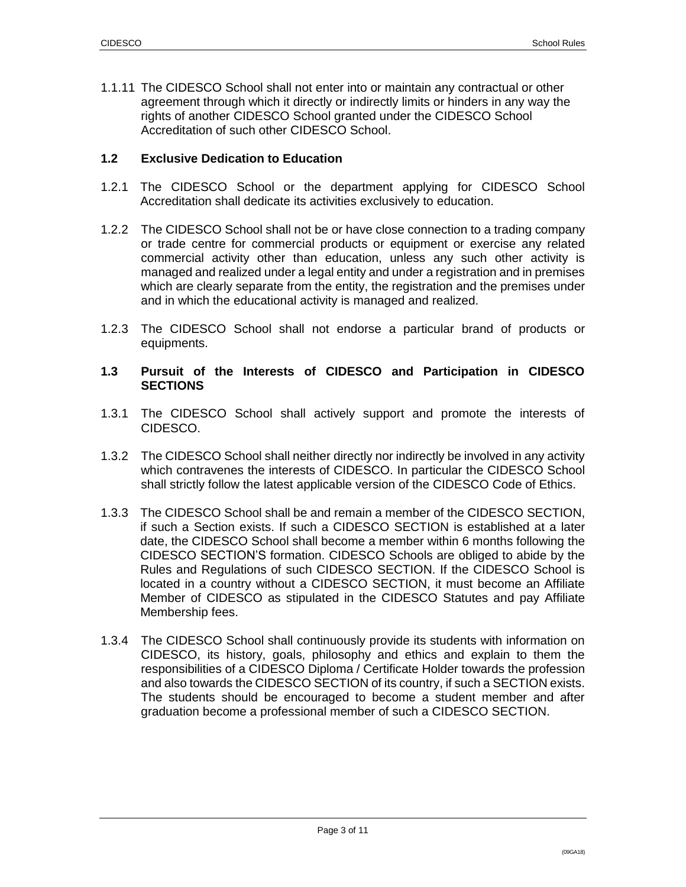1.1.11 The CIDESCO School shall not enter into or maintain any contractual or other agreement through which it directly or indirectly limits or hinders in any way the rights of another CIDESCO School granted under the CIDESCO School Accreditation of such other CIDESCO School.

#### **1.2 Exclusive Dedication to Education**

- 1.2.1 The CIDESCO School or the department applying for CIDESCO School Accreditation shall dedicate its activities exclusively to education.
- 1.2.2 The CIDESCO School shall not be or have close connection to a trading company or trade centre for commercial products or equipment or exercise any related commercial activity other than education, unless any such other activity is managed and realized under a legal entity and under a registration and in premises which are clearly separate from the entity, the registration and the premises under and in which the educational activity is managed and realized.
- 1.2.3 The CIDESCO School shall not endorse a particular brand of products or equipments.

#### **1.3 Pursuit of the Interests of CIDESCO and Participation in CIDESCO SECTIONS**

- 1.3.1 The CIDESCO School shall actively support and promote the interests of CIDESCO.
- 1.3.2 The CIDESCO School shall neither directly nor indirectly be involved in any activity which contravenes the interests of CIDESCO. In particular the CIDESCO School shall strictly follow the latest applicable version of the CIDESCO Code of Ethics.
- 1.3.3 The CIDESCO School shall be and remain a member of the CIDESCO SECTION, if such a Section exists. If such a CIDESCO SECTION is established at a later date, the CIDESCO School shall become a member within 6 months following the CIDESCO SECTION'S formation. CIDESCO Schools are obliged to abide by the Rules and Regulations of such CIDESCO SECTION. If the CIDESCO School is located in a country without a CIDESCO SECTION, it must become an Affiliate Member of CIDESCO as stipulated in the CIDESCO Statutes and pay Affiliate Membership fees.
- 1.3.4 The CIDESCO School shall continuously provide its students with information on CIDESCO, its history, goals, philosophy and ethics and explain to them the responsibilities of a CIDESCO Diploma / Certificate Holder towards the profession and also towards the CIDESCO SECTION of its country, if such a SECTION exists. The students should be encouraged to become a student member and after graduation become a professional member of such a CIDESCO SECTION.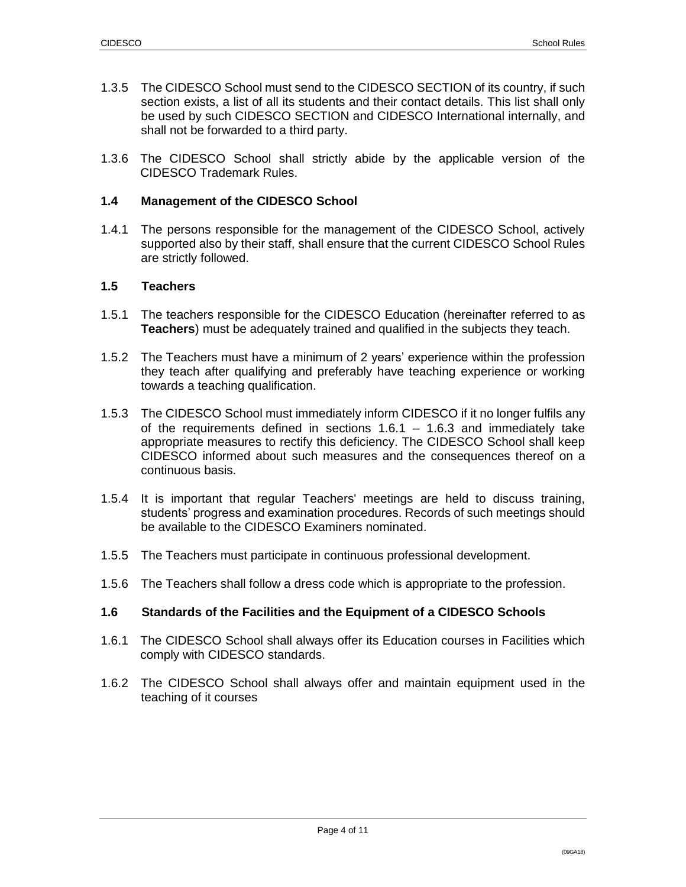- 1.3.5 The CIDESCO School must send to the CIDESCO SECTION of its country, if such section exists, a list of all its students and their contact details. This list shall only be used by such CIDESCO SECTION and CIDESCO International internally, and shall not be forwarded to a third party.
- 1.3.6 The CIDESCO School shall strictly abide by the applicable version of the CIDESCO Trademark Rules.

#### **1.4 Management of the CIDESCO School**

1.4.1 The persons responsible for the management of the CIDESCO School, actively supported also by their staff, shall ensure that the current CIDESCO School Rules are strictly followed.

#### **1.5 Teachers**

- 1.5.1 The teachers responsible for the CIDESCO Education (hereinafter referred to as **Teachers**) must be adequately trained and qualified in the subjects they teach.
- 1.5.2 The Teachers must have a minimum of 2 years' experience within the profession they teach after qualifying and preferably have teaching experience or working towards a teaching qualification.
- 1.5.3 The CIDESCO School must immediately inform CIDESCO if it no longer fulfils any of the requirements defined in sections  $1.6.1 - 1.6.3$  and immediately take appropriate measures to rectify this deficiency. The CIDESCO School shall keep CIDESCO informed about such measures and the consequences thereof on a continuous basis.
- 1.5.4 It is important that regular Teachers' meetings are held to discuss training, students' progress and examination procedures. Records of such meetings should be available to the CIDESCO Examiners nominated.
- 1.5.5 The Teachers must participate in continuous professional development.
- 1.5.6 The Teachers shall follow a dress code which is appropriate to the profession.

#### **1.6 Standards of the Facilities and the Equipment of a CIDESCO Schools**

- 1.6.1 The CIDESCO School shall always offer its Education courses in Facilities which comply with CIDESCO standards.
- 1.6.2 The CIDESCO School shall always offer and maintain equipment used in the teaching of it courses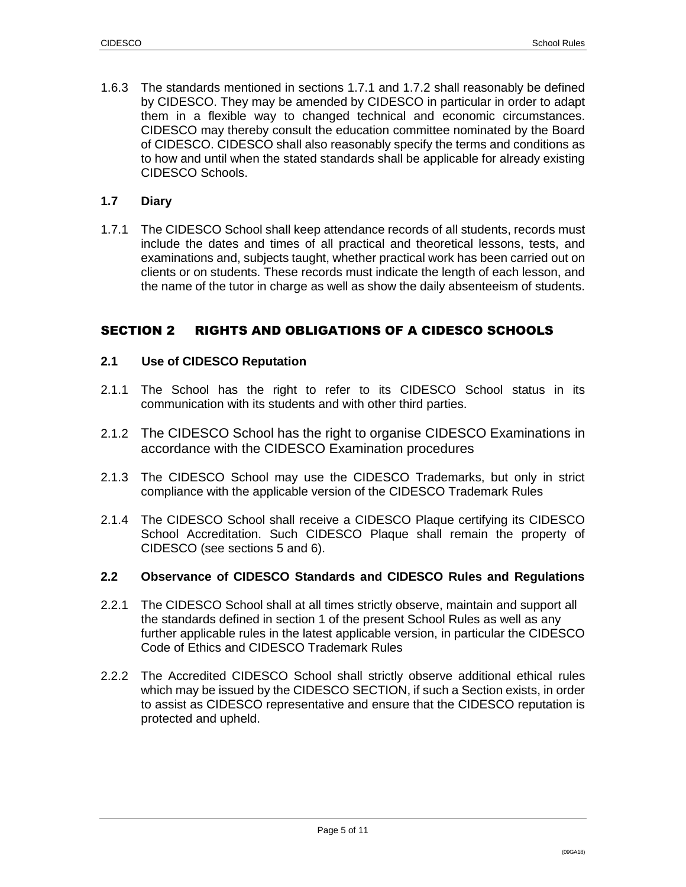1.6.3 The standards mentioned in sections 1.7.1 and 1.7.2 shall reasonably be defined by CIDESCO. They may be amended by CIDESCO in particular in order to adapt them in a flexible way to changed technical and economic circumstances. CIDESCO may thereby consult the education committee nominated by the Board of CIDESCO. CIDESCO shall also reasonably specify the terms and conditions as to how and until when the stated standards shall be applicable for already existing CIDESCO Schools.

#### **1.7 Diary**

1.7.1 The CIDESCO School shall keep attendance records of all students, records must include the dates and times of all practical and theoretical lessons, tests, and examinations and, subjects taught, whether practical work has been carried out on clients or on students. These records must indicate the length of each lesson, and the name of the tutor in charge as well as show the daily absenteeism of students.

## SECTION 2 RIGHTS AND OBLIGATIONS OF A CIDESCO SCHOOLS

#### **2.1 Use of CIDESCO Reputation**

- 2.1.1 The School has the right to refer to its CIDESCO School status in its communication with its students and with other third parties.
- 2.1.2 The CIDESCO School has the right to organise CIDESCO Examinations in accordance with the CIDESCO Examination procedures
- 2.1.3 The CIDESCO School may use the CIDESCO Trademarks, but only in strict compliance with the applicable version of the CIDESCO Trademark Rules
- 2.1.4 The CIDESCO School shall receive a CIDESCO Plaque certifying its CIDESCO School Accreditation. Such CIDESCO Plaque shall remain the property of CIDESCO (see sections 5 and 6).

#### **2.2 Observance of CIDESCO Standards and CIDESCO Rules and Regulations**

- 2.2.1 The CIDESCO School shall at all times strictly observe, maintain and support all the standards defined in section 1 of the present School Rules as well as any further applicable rules in the latest applicable version, in particular the CIDESCO Code of Ethics and CIDESCO Trademark Rules
- 2.2.2 The Accredited CIDESCO School shall strictly observe additional ethical rules which may be issued by the CIDESCO SECTION, if such a Section exists, in order to assist as CIDESCO representative and ensure that the CIDESCO reputation is protected and upheld.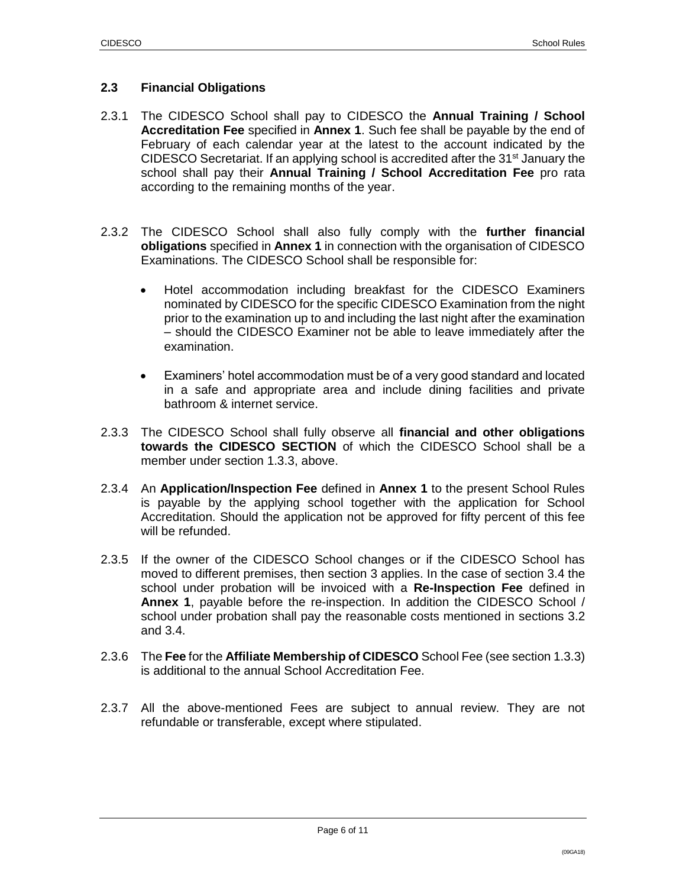#### **2.3 Financial Obligations**

- 2.3.1 The CIDESCO School shall pay to CIDESCO the **Annual Training / School Accreditation Fee** specified in **Annex 1**. Such fee shall be payable by the end of February of each calendar year at the latest to the account indicated by the CIDESCO Secretariat. If an applying school is accredited after the  $31<sup>st</sup>$  January the school shall pay their **Annual Training / School Accreditation Fee** pro rata according to the remaining months of the year.
- 2.3.2 The CIDESCO School shall also fully comply with the **further financial obligations** specified in **Annex 1** in connection with the organisation of CIDESCO Examinations. The CIDESCO School shall be responsible for:
	- Hotel accommodation including breakfast for the CIDESCO Examiners nominated by CIDESCO for the specific CIDESCO Examination from the night prior to the examination up to and including the last night after the examination – should the CIDESCO Examiner not be able to leave immediately after the examination.
	- Examiners' hotel accommodation must be of a very good standard and located in a safe and appropriate area and include dining facilities and private bathroom & internet service.
- 2.3.3 The CIDESCO School shall fully observe all **financial and other obligations towards the CIDESCO SECTION** of which the CIDESCO School shall be a member under section 1.3.3, above.
- 2.3.4 An **Application/Inspection Fee** defined in **Annex 1** to the present School Rules is payable by the applying school together with the application for School Accreditation. Should the application not be approved for fifty percent of this fee will be refunded.
- 2.3.5 If the owner of the CIDESCO School changes or if the CIDESCO School has moved to different premises, then section 3 applies. In the case of section 3.4 the school under probation will be invoiced with a **Re-Inspection Fee** defined in **Annex 1**, payable before the re-inspection. In addition the CIDESCO School / school under probation shall pay the reasonable costs mentioned in sections 3.2 and 3.4.
- 2.3.6 The **Fee** for the **Affiliate Membership of CIDESCO** School Fee (see section 1.3.3) is additional to the annual School Accreditation Fee.
- 2.3.7 All the above-mentioned Fees are subject to annual review. They are not refundable or transferable, except where stipulated.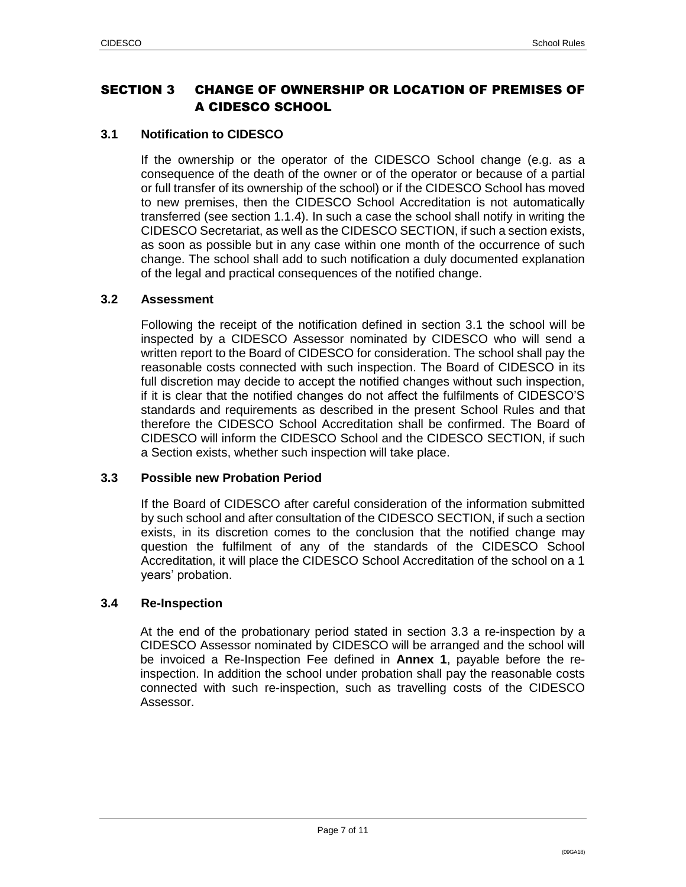## SECTION 3 CHANGE OF OWNERSHIP OR LOCATION OF PREMISES OF A CIDESCO SCHOOL

## **3.1 Notification to CIDESCO**

If the ownership or the operator of the CIDESCO School change (e.g. as a consequence of the death of the owner or of the operator or because of a partial or full transfer of its ownership of the school) or if the CIDESCO School has moved to new premises, then the CIDESCO School Accreditation is not automatically transferred (see section 1.1.4). In such a case the school shall notify in writing the CIDESCO Secretariat, as well as the CIDESCO SECTION, if such a section exists, as soon as possible but in any case within one month of the occurrence of such change. The school shall add to such notification a duly documented explanation of the legal and practical consequences of the notified change.

## **3.2 Assessment**

Following the receipt of the notification defined in section 3.1 the school will be inspected by a CIDESCO Assessor nominated by CIDESCO who will send a written report to the Board of CIDESCO for consideration. The school shall pay the reasonable costs connected with such inspection. The Board of CIDESCO in its full discretion may decide to accept the notified changes without such inspection, if it is clear that the notified changes do not affect the fulfilments of CIDESCO'S standards and requirements as described in the present School Rules and that therefore the CIDESCO School Accreditation shall be confirmed. The Board of CIDESCO will inform the CIDESCO School and the CIDESCO SECTION, if such a Section exists, whether such inspection will take place.

#### **3.3 Possible new Probation Period**

If the Board of CIDESCO after careful consideration of the information submitted by such school and after consultation of the CIDESCO SECTION, if such a section exists, in its discretion comes to the conclusion that the notified change may question the fulfilment of any of the standards of the CIDESCO School Accreditation, it will place the CIDESCO School Accreditation of the school on a 1 years' probation.

#### **3.4 Re-Inspection**

At the end of the probationary period stated in section 3.3 a re-inspection by a CIDESCO Assessor nominated by CIDESCO will be arranged and the school will be invoiced a Re-Inspection Fee defined in **Annex 1**, payable before the reinspection. In addition the school under probation shall pay the reasonable costs connected with such re-inspection, such as travelling costs of the CIDESCO Assessor.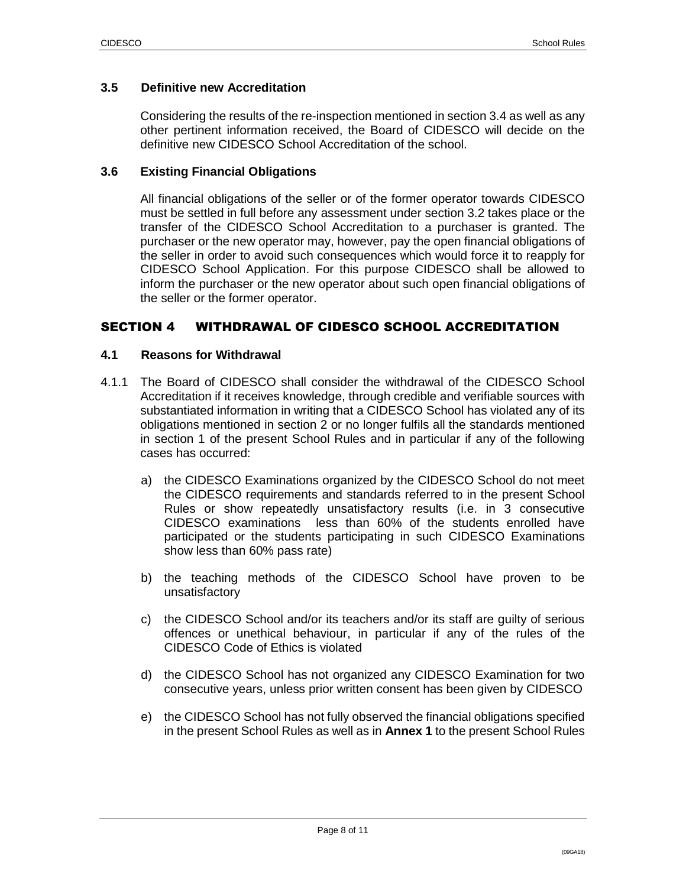#### **3.5 Definitive new Accreditation**

Considering the results of the re-inspection mentioned in section 3.4 as well as any other pertinent information received, the Board of CIDESCO will decide on the definitive new CIDESCO School Accreditation of the school.

#### **3.6 Existing Financial Obligations**

All financial obligations of the seller or of the former operator towards CIDESCO must be settled in full before any assessment under section 3.2 takes place or the transfer of the CIDESCO School Accreditation to a purchaser is granted. The purchaser or the new operator may, however, pay the open financial obligations of the seller in order to avoid such consequences which would force it to reapply for CIDESCO School Application. For this purpose CIDESCO shall be allowed to inform the purchaser or the new operator about such open financial obligations of the seller or the former operator.

#### SECTION 4 WITHDRAWAL OF CIDESCO SCHOOL ACCREDITATION

#### **4.1 Reasons for Withdrawal**

- 4.1.1 The Board of CIDESCO shall consider the withdrawal of the CIDESCO School Accreditation if it receives knowledge, through credible and verifiable sources with substantiated information in writing that a CIDESCO School has violated any of its obligations mentioned in section 2 or no longer fulfils all the standards mentioned in section 1 of the present School Rules and in particular if any of the following cases has occurred:
	- a) the CIDESCO Examinations organized by the CIDESCO School do not meet the CIDESCO requirements and standards referred to in the present School Rules or show repeatedly unsatisfactory results (i.e. in 3 consecutive CIDESCO examinations less than 60% of the students enrolled have participated or the students participating in such CIDESCO Examinations show less than 60% pass rate)
	- b) the teaching methods of the CIDESCO School have proven to be unsatisfactory
	- c) the CIDESCO School and/or its teachers and/or its staff are guilty of serious offences or unethical behaviour, in particular if any of the rules of the CIDESCO Code of Ethics is violated
	- d) the CIDESCO School has not organized any CIDESCO Examination for two consecutive years, unless prior written consent has been given by CIDESCO
	- e) the CIDESCO School has not fully observed the financial obligations specified in the present School Rules as well as in **Annex 1** to the present School Rules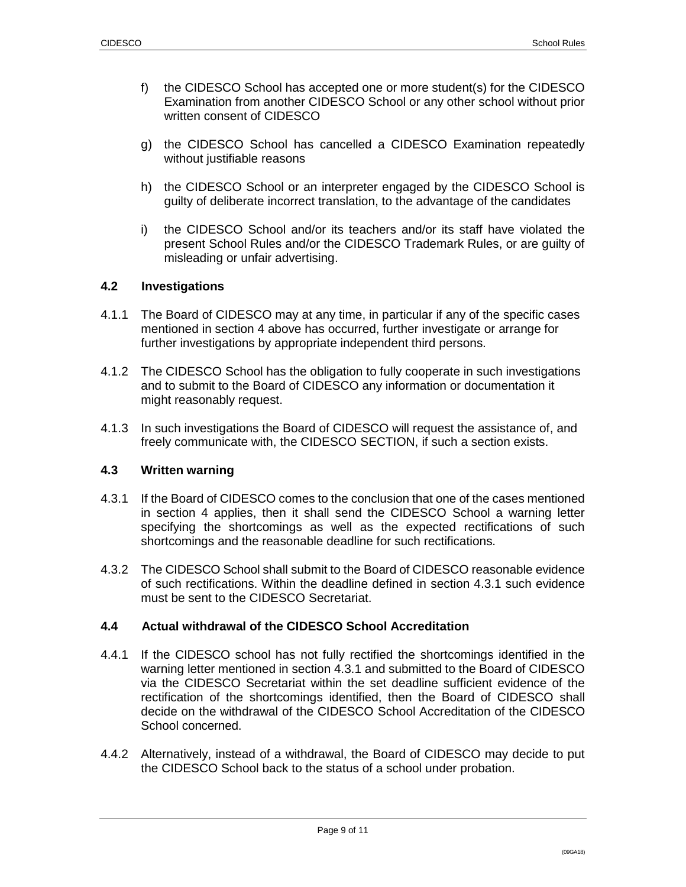- f) the CIDESCO School has accepted one or more student(s) for the CIDESCO Examination from another CIDESCO School or any other school without prior written consent of CIDESCO
- g) the CIDESCO School has cancelled a CIDESCO Examination repeatedly without justifiable reasons
- h) the CIDESCO School or an interpreter engaged by the CIDESCO School is guilty of deliberate incorrect translation, to the advantage of the candidates
- i) the CIDESCO School and/or its teachers and/or its staff have violated the present School Rules and/or the CIDESCO Trademark Rules, or are guilty of misleading or unfair advertising.

#### **4.2 Investigations**

- 4.1.1 The Board of CIDESCO may at any time, in particular if any of the specific cases mentioned in section 4 above has occurred, further investigate or arrange for further investigations by appropriate independent third persons.
- 4.1.2 The CIDESCO School has the obligation to fully cooperate in such investigations and to submit to the Board of CIDESCO any information or documentation it might reasonably request.
- 4.1.3 In such investigations the Board of CIDESCO will request the assistance of, and freely communicate with, the CIDESCO SECTION, if such a section exists.

## **4.3 Written warning**

- 4.3.1 If the Board of CIDESCO comes to the conclusion that one of the cases mentioned in section 4 applies, then it shall send the CIDESCO School a warning letter specifying the shortcomings as well as the expected rectifications of such shortcomings and the reasonable deadline for such rectifications.
- 4.3.2 The CIDESCO School shall submit to the Board of CIDESCO reasonable evidence of such rectifications. Within the deadline defined in section 4.3.1 such evidence must be sent to the CIDESCO Secretariat.

#### **4.4 Actual withdrawal of the CIDESCO School Accreditation**

- 4.4.1 If the CIDESCO school has not fully rectified the shortcomings identified in the warning letter mentioned in section 4.3.1 and submitted to the Board of CIDESCO via the CIDESCO Secretariat within the set deadline sufficient evidence of the rectification of the shortcomings identified, then the Board of CIDESCO shall decide on the withdrawal of the CIDESCO School Accreditation of the CIDESCO School concerned.
- 4.4.2 Alternatively, instead of a withdrawal, the Board of CIDESCO may decide to put the CIDESCO School back to the status of a school under probation.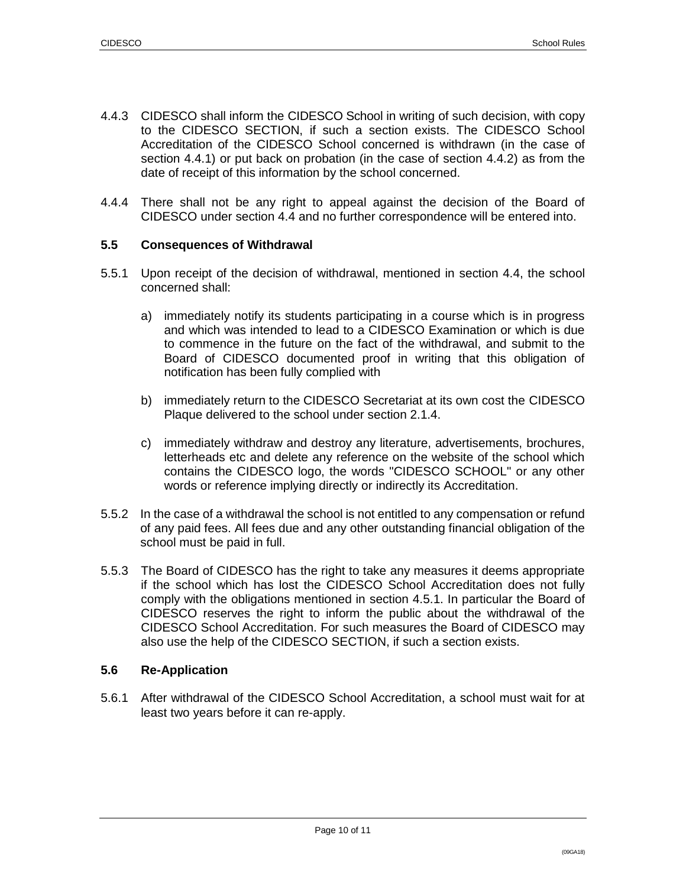- 4.4.3 CIDESCO shall inform the CIDESCO School in writing of such decision, with copy to the CIDESCO SECTION, if such a section exists. The CIDESCO School Accreditation of the CIDESCO School concerned is withdrawn (in the case of section 4.4.1) or put back on probation (in the case of section 4.4.2) as from the date of receipt of this information by the school concerned.
- 4.4.4 There shall not be any right to appeal against the decision of the Board of CIDESCO under section 4.4 and no further correspondence will be entered into.

#### **5.5 Consequences of Withdrawal**

- 5.5.1 Upon receipt of the decision of withdrawal, mentioned in section 4.4, the school concerned shall:
	- a) immediately notify its students participating in a course which is in progress and which was intended to lead to a CIDESCO Examination or which is due to commence in the future on the fact of the withdrawal, and submit to the Board of CIDESCO documented proof in writing that this obligation of notification has been fully complied with
	- b) immediately return to the CIDESCO Secretariat at its own cost the CIDESCO Plaque delivered to the school under section 2.1.4.
	- c) immediately withdraw and destroy any literature, advertisements, brochures, letterheads etc and delete any reference on the website of the school which contains the CIDESCO logo, the words "CIDESCO SCHOOL" or any other words or reference implying directly or indirectly its Accreditation.
- 5.5.2 In the case of a withdrawal the school is not entitled to any compensation or refund of any paid fees. All fees due and any other outstanding financial obligation of the school must be paid in full.
- 5.5.3 The Board of CIDESCO has the right to take any measures it deems appropriate if the school which has lost the CIDESCO School Accreditation does not fully comply with the obligations mentioned in section 4.5.1. In particular the Board of CIDESCO reserves the right to inform the public about the withdrawal of the CIDESCO School Accreditation. For such measures the Board of CIDESCO may also use the help of the CIDESCO SECTION, if such a section exists.

## **5.6 Re-Application**

5.6.1 After withdrawal of the CIDESCO School Accreditation, a school must wait for at least two years before it can re-apply.